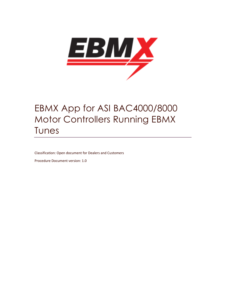

# EBMX App for ASI BAC4000/8000 Motor Controllers Running EBMX Tunes

Classification: Open document for Dealers and Customers

Procedure Document version: 1.0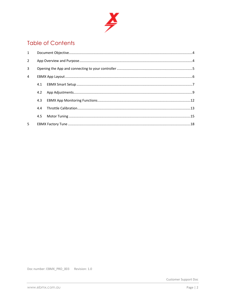

### **Table of Contents**

| $\mathbf{1}$   |     |  |
|----------------|-----|--|
| $\overline{2}$ |     |  |
| 3              |     |  |
| $\overline{4}$ |     |  |
|                | 4.1 |  |
|                | 4.2 |  |
|                | 4.3 |  |
|                | 4.4 |  |
|                | 4.5 |  |
| 5              |     |  |

Doc number: EBMX\_PRO\_003 Revision: 1.0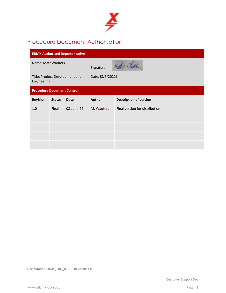

### Procedure Document Authorisation

| <b>EBMX Authorised Representative</b>         |               |                  |               |                                |  |  |
|-----------------------------------------------|---------------|------------------|---------------|--------------------------------|--|--|
| Name: Matt Wauters                            |               |                  | Signature:    | Matthe attended                |  |  |
| Title: Product Development and<br>Engineering |               | Date: [8/6/2022] |               |                                |  |  |
| <b>Procedure Document Control</b>             |               |                  |               |                                |  |  |
| <b>Revision</b>                               | <b>Status</b> | <b>Date</b>      | <b>Author</b> | <b>Description of version</b>  |  |  |
| 1.0                                           | Final         | 08-June-22       | M. Wauters    | Final version for distribution |  |  |
|                                               |               |                  |               |                                |  |  |
|                                               |               |                  |               |                                |  |  |
|                                               |               |                  |               |                                |  |  |
|                                               |               |                  |               |                                |  |  |

Doc number: EBMX\_PRO\_003 Revision: 1.0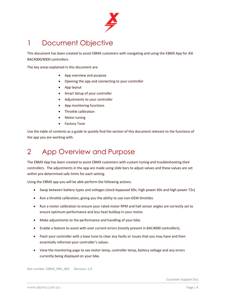

# 1 Document Objective

This document has been created to assist EBMX customers with navigating and using the EBMX App for ASI BAC4000/8000 controllers.

The key areas explained in this document are:

- App overview and purpose
- Opening the app and connecting to your controller
- App layout
- Smart Setup of your controller
- Adjustments to your controller
- App monitoring functions
- Throttle calibration
- Motor tuning
- Factory Tune

Use the table of contents as a guide to quickly find the section of this document relevant to the functions of the app you are working with.

# 2 App Overview and Purpose

The EBMX App has been created to assist EBMX customers with custom tuning and troubleshooting their controllers. The adjustments in the app are made using slide bars to adjust values and these values are set within pre-determined safe limits for each setting.

Using the EBMX app you will be able perform the following actions:

- Swap between battery types and voltages (stock bypassed 60v, high power 60v and high power 72v)
- Run a throttle calibration, giving you the ability to use non-OEM throttles
- Run a motor calibration to ensure your rated motor RPM and hall sensor angles are correctly set to ensure optimum performance and less heat buildup in your motor.
- Make adjustments to the performance and handling of your bike.
- Enable a feature to assist with over current errors (mostly present in BAC4000 controllers).
- Flash your controller with a base tune to clear any faults or issues that you may have and then essentially reformat your controller's values.
- View the monitoring page to see motor temp, controller temp, battery voltage and any errors currently being displayed on your bike.

Doc number: EBMX\_PRO\_003 Revision: 1.0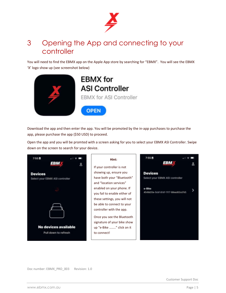

# 3 Opening the App and connecting to your controller

You will need to find the EBMX app on the Apple App store by searching for "EBMX". You will see the EBMX 'X' logo show up (see screenshot below)



Download the app and then enter the app. You will be promoted by the in-app purchases to purchase the app, please purchase the app (\$50 USD) to proceed.

Open the app and you will be promted with a screen asking for you to select your EBMX ASI Controller. Swipe down on the screen to search for your device.

| 7:55日<br>58W                                      | Hint:<br>If your controller is not                                                                                                                                           | 7:55 目                                                                                              |
|---------------------------------------------------|------------------------------------------------------------------------------------------------------------------------------------------------------------------------------|-----------------------------------------------------------------------------------------------------|
| <b>Devices</b><br>Select your EBMX ASI controller | showing up, ensure you<br>have both your "Bluetooth"<br>and "location services"<br>enabled on your phone. If<br>you fail to enable either of<br>these settings, you will not | <b>Devices</b><br>Select your EBMX ASI controller<br>e-Bike<br>4549d20e-5cbf-81d1-1117-88ead83cd7d5 |
| No devices available<br>Pull down to refresh      | be able to connect to your<br>controller with the app.<br>Once you see the Bluetooth<br>signature of your bike show<br>up "e-Bike " click on it<br>to connect!               |                                                                                                     |

Doc number: EBMX\_PRO\_003 Revision: 1.0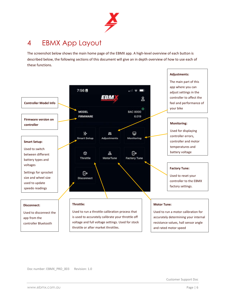

# 4 EBMX App Layout

The screenshot below shows the main home page of the EBMX app. A high-level overview of each button is described below, the following sections of this document will give an in depth overview of how to use each of these functions.

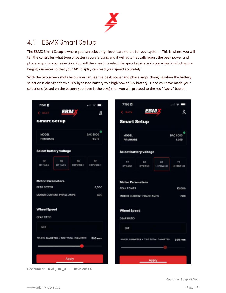

## 4.1 EBMX Smart Setup

The EBMX Smart Setup is where you can select high level parameters for your system. This is where you will tell the controller what type of battery you are using and it will automatically adjust the peak power and phase amps for your selection. You will then need to select the sprocket size and your wheel (including tire height) diameter so that your APT display can read your speed accurately.

With the two screen shots below you can see the peak power and phase amps changing when the battery selection is changed form a 60v bypassed battery to a high power 60v battery. Once you have made your selections (based on the battery you have in the bike) then you will proceed to the red "Apply" button.

| $7:56$ H                 |                               |                                      | $\mathbf{m} \in \mathbf{m}$ | 7:56 目                          |                     |                                      |                          |
|--------------------------|-------------------------------|--------------------------------------|-----------------------------|---------------------------------|---------------------|--------------------------------------|--------------------------|
| <b>C</b> BACK            |                               | EBM                                  | δ                           | $\xi$ BACK                      |                     | <b>EBM</b>                           | &                        |
| smart setup              |                               |                                      |                             | <b>Smart Setup</b>              |                     |                                      |                          |
| MODEL<br><b>FIRMWARE</b> |                               |                                      | <b>BAC 8000</b><br>6.019    | <b>MODEL</b><br><b>FIRMWARE</b> |                     |                                      | <b>BAC 8000</b><br>6.019 |
|                          | <b>Select battery voltage</b> |                                      |                             | <b>Select battery voltage</b>   |                     |                                      |                          |
| 52<br><b>BYPASS</b>      | 60<br><b>BYPASS</b>           | 60<br>HIPOWER                        | 72<br>HIPOWER               | 52<br><b>BYPASS</b>             | 60<br><b>BYPASS</b> | 60<br>HIPOWER                        | 72<br>HIPOWER            |
| <b>Motor Parameters</b>  |                               |                                      |                             | <b>Motor Parameters</b>         |                     |                                      |                          |
| PEAK POWER               |                               |                                      | 8,500                       | PEAK POWER                      |                     |                                      | 15,000                   |
|                          | MOTOR CURRENT PHASE AMPS      |                                      | 400                         | MOTOR CURRENT PHASE AMPS        |                     |                                      | 600                      |
| <b>Wheel Speed</b>       |                               |                                      |                             | <b>Wheel Speed</b>              |                     |                                      |                          |
| <b>GEAR RATIO</b>        |                               |                                      |                             | <b>GEAR RATIO</b>               |                     |                                      |                          |
| <b>58T</b>               |                               |                                      |                             | <b>58T</b>                      |                     |                                      |                          |
|                          |                               | WHEEL DIAMETER + TIRE TOTAL DIAMETER | 595 mm                      |                                 |                     | WHEEL DIAMETER + TIRE TOTAL DIAMETER | 595 mm                   |
|                          |                               |                                      |                             |                                 |                     |                                      |                          |
|                          |                               |                                      |                             |                                 |                     |                                      |                          |
|                          |                               | <b>Apply</b>                         |                             |                                 |                     | Apply                                |                          |

Doc number: EBMX\_PRO\_003 Revision: 1.0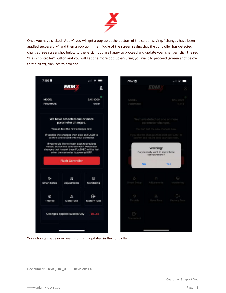

Once you have clicked "Apply" you will get a pop up at the bottom of the screen saying, "changes have been applied successfully" and then a pop up in the middle of the screen saying that the controller has detected changes (see screenshot below to the left). If you are happy to proceed and update your changes, click the red "Flash Controller" button and you will get one more pop up ensuring you want to proceed (screen shot below to the right), click Yes to proceed.



Your changes have now been input and updated in the controller!

Doc number: EBMX\_PRO\_003 Revision: 1.0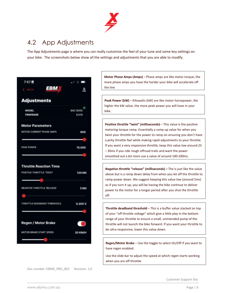

### 4.2 App Adjustments

The App Adjustments page is where you can really customize the feel of your tune and some key settings on your bike. The screenshots below show all the settings and adjustments that you are able to modify.



Doc number: EBMX\_PRO\_003 Revision: 1.0

**Motor Phase Amps (Amps)** – Phase amps are like motor torque, the more phase amps you have the harder your bike will accelerate off the line

**Peak Power (kW)** – Kilowatts (kW) are like motor horsepower, the higher the kW value, the more peak power you will have in your bike.

**Positive throttle "twist" (milliseconds)** – This value is the positive motoring torque ramp. Essentially a ramp up value for when you twist your throttle for the power to ramp on ensuring you don't have a jerky throttle feel while making rapid adjustments to your throttle. If you want a very responsive throttle, keep this value low around 25 – 30ms if you ride rough offroad trails and want the power smoothed out a bit more use a value of around 100-200ms.

**Negative throttle "release" (milliseconds) –** The is just like the value above but is a ramp down delay from when you let off the throttle to ramp power down. We suggest keeping this value low (around 5ms) as if you turn it up, you will be having the bike continue to deliver power to the motor for a longer period after you shut the throttle off.

**Throttle deadband threshold** – This is a buffer value stacked on top of your "off throttle voltage" which give a little play in the bottom range of your throttle to ensure a small, unintended pump of the throttle will not launch the bike forward. If you want your throttle to be ultra responsive, lower this value down.

**Regen/Motor Brake** – Use the toggle to select On/Off if you want to have regen enabled.

Use the slide bar to adjust the speed at which regen starts working when you are off throttle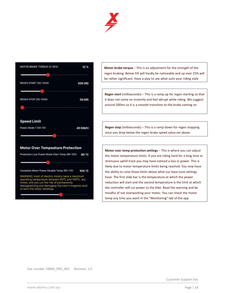



**Motor brake torque** – This is an adjustment for the strength of the regen braking. Below 5% will hardly be noticeable and up over 25% will be rather significant. Have a play to see what suits your riding style

**Regen start** (milliseconds) – This is a ramp up for regen starting so that it does not come on instantly and feel abrupt while riding. We suggest around 500ms so it is a smooth transition to the brake coming on

**Regen stop** (milliseconds) – This is a ramp down for regen stopping once you drop below the regen brake speed value set above.

**Motor over temp protection settings** – This is where you can adjust the motor temperature limits. If you are riding hard for a long time or strenuous uphill track you may have noticed a loss in power. This is likely due to motor temperature limits being reached. You now have the ability to raise those limits above what our base tune settings have. The first slide bar is the temperature at which the power reduction will start and the second temperature is the limit at which the controller will cut power to the bike. Read the warning and be mindful of not overworking your motor. You can check the motor temp any time you want in the "Monitoring" tab of the app

Doc number: EBMX\_PRO\_003 Revision: 1.0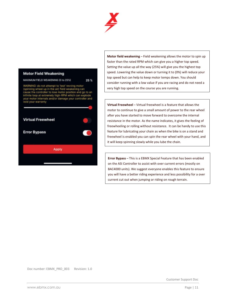

25 %

#### **Motor Field Weakening**

MAXIMUM FIELD WEAKENING (0 to 25%)

WARNING: do not attempt to 'test' revving motor<br>(spinning wheel up in the air) field weakening can cause the controller to lose motor position and go to an<br>infinite loop at extremely high-RPM which can explode<br>your motor internals and/or damage your controller and void your warranty



**Motor field weakening** – Field weakening allows the motor to spin up faster than the rated RPM which can give you a higher top speed. Setting the value up all the way (25%) will give you the highest top speed. Lowering the value down or turning it to (0%) will reduce your top speed but can help to keep motor temps down. You should consider running with a low value if you are racing and do not need a very high top speed on the course you are running.

**Virtual Freewheel** – Virtual freewheel is a feature that allows the motor to continue to give a small amount of power to the rear wheel after you have started to move forward to overcome the internal resistance in the motor. As the name indicates, it gives the feeling of freewheeling or rolling without resistance. It can be handy to use this feature for lubricating your chain as when the bike is on a stand and freewheel is enabled you can spin the rear wheel with your hand, and it will keep spinning slowly while you lube the chain.

**Error Bypass** – This is a EBMX Special Feature that has been enabled on the ASI Controller to assist with over current errors (mostly on BAC4000 units). We suggest everyone enables this feature to ensure you will have a better riding experience and less possibility for a over current cut out when jumping or riding on rough terrain.

Doc number: EBMX\_PRO\_003 Revision: 1.0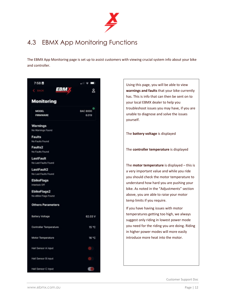

# 4.3 EBMX App Monitoring Functions

The EBMX App Monitoring page is set up to assist customers with viewing crucial system info about your bike and controller.

| 7:58B                            | all VII                  |
|----------------------------------|--------------------------|
| <b>EBM</b><br><b>C</b> BACK      | 2                        |
| <b>Monitoring</b>                |                          |
| MODEL<br>FIRMWARE                | <b>BAC 8000</b><br>6.019 |
| Warnings                         |                          |
| No Warnings Found                |                          |
| <b>Faults</b><br>No Faults Found |                          |
| <b>Faults2</b>                   |                          |
| No Faults Found                  |                          |
| LastFault                        |                          |
| No Last Faults Found             |                          |
| LastFault2                       |                          |
| No Last Faults Found             |                          |
| <b>EbikeFlags</b>                |                          |
| Interlock Off                    |                          |
| EbikeFlags2                      |                          |
| No eBike Flags Found             |                          |
| <b>Others Parameters</b>         |                          |
| <b>Battery Voltage</b>           | 62.03 V                  |
| <b>Controller Temperature</b>    | 15 °C                    |
| Motor Temperature                | 16 °C                    |
| Hall Sensor A input              |                          |
| Hall Sensor B input              |                          |
| Hall Sensor C input              |                          |

Using this page, you will be able to view **warnings and faults** that your bike currently has. This is info that can then be sent on to your local EBMX dealer to help you troubleshoot issues you may have, if you are unable to diagnose and solve the issues yourself. The **battery voltage** is displayed The **controller temperature** is displayed The **motor temperature** is displayed – this is a very important value and while you ride you should check the motor temperature to understand how hard you are pushing your bike. As noted in the "Adjustments" section above, you are able to raise your motor temp limits if you require. If you have having issues with motor temperatures getting too high, we always suggest only riding in lowest power mode you need for the riding you are doing. Riding in higher power modes will more easily introduce more heat into the motor.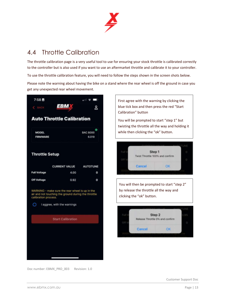

## 4.4 Throttle Calibration

The throttle calibration page is a very useful tool to use for ensuring your stock throttle is calibrated correctly to the controller but is also used if you want to use an aftermarket throttle and calibrate it to your controller.

To use the throttle calibration feature, you will need to follow the steps shown in the screen shots below.

Please note the warning about having the bike on a stand where the rear wheel is off the ground in case you get any unexpected rear wheel movement.



Doc number: EBMX\_PRO\_003 Revision: 1.0

First agree with the warning by clicking the blue tick box and then press the red "Start Calibration" button

You will be prompted to start "step 1" but twisting the throttle all the way and holding it while then clicking the "ok" button.



You will then be prompted to start "step 2" by release the throttle all the way and clicking the "ok" button.

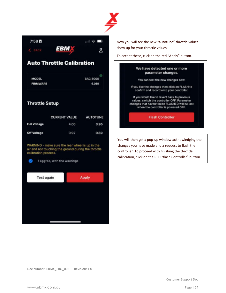

 $7:58B$  $\blacksquare$   $\triangleright$   $\blacksquare$ **EBM** δQ.

### **Auto Throttle Calibration**

| <b>MODEL</b>    | <b>BAC 8000</b> |
|-----------------|-----------------|
| <b>FIRMWARE</b> | 6.019           |

#### **Throttle Setup**

|                     | <b>CURRENT VALUE AUTOTUNE</b> |      |
|---------------------|-------------------------------|------|
| <b>Full Voltage</b> | 4.00                          | 3.95 |
| <b>Off Voltage</b>  | 0.92                          | 0.89 |

WARNING - make sure the rear wheel is up in the air and not touching the ground during the throttle calibration process.

I aggree, with the warnings

 $\odot$ 



Now you will see the new "autotune" throttle values show up for your throttle values.

To accept these, click on the red "Apply" button.

#### We have detected one or more parameter changes.

You can test the new changes now.

If you like the changes then click on FLASH to confirm and record onto your controller.

If you would like to revert back to previous values, switch the controller OFF. Parameter changes that haven't been FLASHED will be lost when the controller is powered OFF.

**Flash Controller** 

You will then get a pop-up window acknowledging the changes you have made and a request to flash the controller. To proceed with finishing the throttle calibration, click on the RED "flash Controller" button.

Doc number: EBMX\_PRO\_003 Revision: 1.0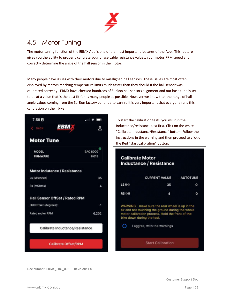

### 4.5 Motor Tuning

The motor tuning function of the EBMX App is one of the most important features of the App. This feature gives you the ability to properly calibrate your phase cable resistance values, your motor RPM speed and correctly determine the angle of the hall sensor in the motor.

Many people have issues with their motors due to misaligned hall sensors. These issues are most often displayed by motors reaching temperature limits much faster than they should if the hall sensor was calibrated correctly. EBMX have checked hundreds of SurRon hall sensors alignment and our base tune is set to be at a value that is the best fit for as many people as possible. However we know that the range of hall angle values coming from the SurRon factory continue to vary so it is very important that everyone runs this calibration on their bike!



To start the calibration tests, you will run the Inductance/resistance test first. Click on the white "Calibrate Inductance/Resistance" button. Follow the instructions in the warning and then proceed to click on the Red "start calibration" button.

#### **Calibrate Motor Inductance / Resistance**

|               | <b>CURRENT VALUE</b>                            | <b>AUTOTUNE</b> |
|---------------|-------------------------------------------------|-----------------|
| LS (H)        | 35                                              | o               |
| <b>RS (H)</b> | л                                               | O               |
|               | WARNING - make sure the rear wheel is up in the |                 |

not touching the ground during motor calibration process. Hold the front of the bike down during the test.

 $\circ$ I aggree, with the warnings

**Start Calibration** 

Doc number: EBMX\_PRO\_003 Revision: 1.0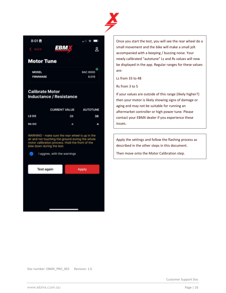

| 8:01 E |      |  | , |
|--------|------|--|---|
|        | EBM. |  |   |

#### **Motor Tune**

**MODEL FIRMWARE** 



ጷ

#### **Calibrate Motor Inductance / Resistance**

|               | <b>CURRENT VALUE AUTOTUNE</b> |    |
|---------------|-------------------------------|----|
| LS(H)         | 39                            | 38 |
| <b>RS (H)</b> | a                             | a  |

WARNING - make sure the rear wheel is up in the air and not touching the ground during the whole<br>motor calibration process. Hold the front of the bike down during the test.



Once you start the test, you will see the rear wheel do a small movement and the bike will make a small jolt accompanied with a beeping / buzzing noise. Your newly calibrated "autotune" Ls and Rs values will now be displayed in the app. Regular ranges for these values are:

Ls from 33 to 48

Rs from 3 to 5

If your values are outside of this range (likely higher?) then your motor is likely showing signs of damage or aging and may not be suitable for running an aftermarket controller or high power tune. Please contact your EBMX dealer if you experience these issues.

Apply the settings and follow the flashing process as described in the other steps in this document.

Then move onto the Motor Calibration step.

Doc number: EBMX\_PRO\_003 Revision: 1.0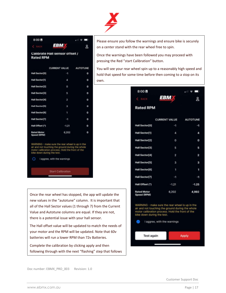

| 8:00B                             |                                | $\frac{1}{2}$   |
|-----------------------------------|--------------------------------|-----------------|
| <b>Course</b><br><b>Callenge</b>  | <b>EBM</b>                     | 8               |
| <b>Rated RPM</b>                  | Calibrate Hall sensor offset / |                 |
|                                   | <b>CURRENT VALUE</b>           | <b>AUTOTUNE</b> |
| Hall Sector[0]                    | -1                             | ٥               |
| Hall Sector(1)                    | А                              | O               |
| Hall Sector[2]                    | o                              | O               |
| Hall Sector[3]                    | 5                              | o               |
| Hall Sector[4]                    | $\overline{2}$                 | ۰               |
| Hall Sector(5)                    | a                              | ۰               |
| Hall Sector[6]                    | ٦                              | ۰               |
| Hall Sector(7)                    | -1                             | ٥               |
| Hall Offset (")                   | $-1.21$                        | o               |
| <b>Rated Motor</b><br>Speed (RPM) | 6,202                          | o               |
|                                   |                                |                 |

make sure the rear wheel is up in the air and not touching the ground during the whole<br>motor calibration process. Hold the front of the<br>bike down during the test.

I aggree, with the warnings

**Start Calibration** 

Once the rear wheel has stopped, the app will update the new values in the "autotune" column. It is important that all of the Hall Sector values (1 through 7) from the Current Value and Autotune columns are equal. If they are not, there is a potential issue with your hall sensor.

The Hall offset value will be updated to match the needs of your motor and the RPM will be updated. Note that 60v batteries will run a lower RPM than 72v Batteries.

Complete the calibration by clicking apply and then following through with the next "flashing" step that follows

Please ensure you follow the warnings and ensure bike is securely on a center stand with the rear wheel free to spin.

Once the warnings have been followed you may proceed with pressing the Red "start Calibration" button.

You will see your rear wheel spin up to a reasonably high speed and hold that speed for some time before then coming to a stop on its own.

| 8:00 目                            |                      | 御す口             |
|-----------------------------------|----------------------|-----------------|
| $\leftarrow$ BACK                 | <b>EBM</b>           | &               |
| <b>Rated RPM</b>                  |                      |                 |
|                                   | <b>CURRENT VALUE</b> | <b>AUTOTUNE</b> |
| Hall Sector[0]                    | -1                   | -1              |
| Hall Sector[1]                    | 4                    | 4               |
| Hall Sector[2]                    | 0                    | ٥               |
| Hall Sector[3]                    | 5                    | 5               |
| Hall Sector[4]                    | 2                    | 2               |
| Hall Sector[5]                    | 3                    | 3               |
| Hall Sector[6]                    | ٦                    | ٦               |
| Hall Sector[7]                    | -1                   | -1              |
| Hall Offset (*)                   | $-1.21$              | $-1.25$         |
| <b>Rated Motor</b><br>Speed (RPM) | 6,202                | 4,992           |

WARNING - make sure the rear wheel is up in the air and not touching the ground during the whole motor calibration process. Hold the front of the bike down during the test.

 $\bullet$ I aggree, with the warnings



Doc number: EBMX\_PRO\_003 Revision: 1.0